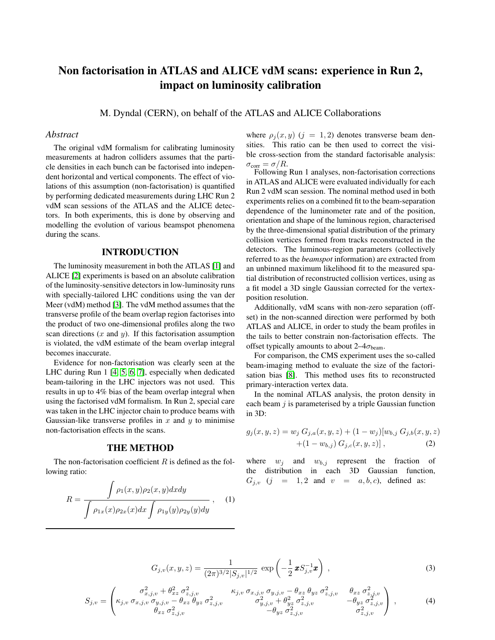# Non factorisation in ATLAS and ALICE vdM scans: experience in Run 2, impact on luminosity calibration

M. Dyndal (CERN), on behalf of the ATLAS and ALICE Collaborations

## *Abstract*

The original vdM formalism for calibrating luminosity measurements at hadron colliders assumes that the particle densities in each bunch can be factorised into independent horizontal and vertical components. The effect of violations of this assumption (non-factorisation) is quantified by performing dedicated measurements during LHC Run 2 vdM scan sessions of the ATLAS and the ALICE detectors. In both experiments, this is done by observing and modelling the evolution of various beamspot phenomena during the scans.

#### INTRODUCTION

The luminosity measurement in both the ATLAS [\[1\]](#page-4-0) and ALICE [\[2\]](#page-4-1) experiments is based on an absolute calibration of the luminosity-sensitive detectors in low-luminosity runs with specially-tailored LHC conditions using the van der Meer (vdM) method [\[3\]](#page-4-2). The vdM method assumes that the transverse profile of the beam overlap region factorises into the product of two one-dimensional profiles along the two scan directions  $(x \text{ and } y)$ . If this factorisation assumption is violated, the vdM estimate of the beam overlap integral becomes inaccurate.

Evidence for non-factorisation was clearly seen at the LHC during Run 1 [\[4,](#page-4-3) [5,](#page-4-4) [6,](#page-4-5) [7\]](#page-4-6), especially when dedicated beam-tailoring in the LHC injectors was not used. This results in up to 4% bias of the beam overlap integral when using the factorised vdM formalism. In Run 2, special care was taken in the LHC injector chain to produce beams with Gaussian-like transverse profiles in x and  $y$  to minimise non-factorisation effects in the scans.

#### THE METHOD

The non-factorisation coefficient  $R$  is defined as the following ratio:

$$
R = \frac{\int \rho_1(x, y)\rho_2(x, y)dxdy}{\int \rho_{1x}(x)\rho_{2x}(x)dx \int \rho_{1y}(y)\rho_{2y}(y)dy},
$$
 (1)

where  $\rho_i(x, y)$  (j = 1, 2) denotes transverse beam densities. This ratio can be then used to correct the visible cross-section from the standard factorisable analysis:  $\sigma_{\text{corr}} = \sigma/R.$ 

Following Run 1 analyses, non-factorisation corrections in ATLAS and ALICE were evaluated individually for each Run 2 vdM scan session. The nominal method used in both experiments relies on a combined fit to the beam-separation dependence of the luminometer rate and of the position, orientation and shape of the luminous region, characterised by the three-dimensional spatial distribution of the primary collision vertices formed from tracks reconstructed in the detectors. The luminous-region parameters (collectively referred to as the *beamspot* information) are extracted from an unbinned maximum likelihood fit to the measured spatial distribution of reconstructed collision vertices, using as a fit model a 3D single Gaussian corrected for the vertexposition resolution.

Additionally, vdM scans with non-zero separation (offset) in the non-scanned direction were performed by both ATLAS and ALICE, in order to study the beam profiles in the tails to better constrain non-factorisation effects. The offset typically amounts to about  $2-4\sigma_{\text{beam}}$ .

For comparison, the CMS experiment uses the so-called beam-imaging method to evaluate the size of the factorisation bias [\[8\]](#page-4-7). This method uses fits to reconstructed primary-interaction vertex data.

In the nominal ATLAS analysis, the proton density in each beam  $j$  is parameterised by a triple Gaussian function in 3D:

$$
g_j(x, y, z) = w_j G_{j,a}(x, y, z) + (1 - w_j)[w_{b,j} G_{j,b}(x, y, z)+(1 - w_{b,j}) G_{j,c}(x, y, z)],
$$
 (2)

where  $w_j$  and  $w_{b,j}$  represent the fraction of the distribution in each 3D Gaussian function,  $G_{i,v}$  (j = 1,2 and  $v = a, b, c$ ), defined as:

$$
G_{j,v}(x,y,z) = \frac{1}{(2\pi)^{3/2} |S_{j,v}|^{1/2}} \exp\left(-\frac{1}{2} \mathbf{x} S_{j,v}^{-1} \mathbf{x}\right) ,
$$
 (3)

$$
S_{j,v} = \begin{pmatrix} \sigma_{x,j,v}^2 + \theta_{xz}^2 \sigma_{z,j,v}^2 & \kappa_{j,v} \sigma_{x,j,v} \sigma_{y,j,v} - \theta_{xz} \theta_{yz} \sigma_{z,j,v}^2 & \theta_{xz} \sigma_{z,j,v}^2 \\ \kappa_{j,v} \sigma_{x,j,v} \sigma_{y,j,v} - \theta_{xz} \theta_{yz} \sigma_{z,j,v}^2 & \sigma_{y,j,v}^2 + \theta_{yz}^2 \sigma_{z,j,v}^2 & -\theta_{yz} \sigma_{z,j,v}^2 \\ \theta_{xz} \sigma_{z,j,v}^2 & -\theta_{yz} \sigma_{z,j,v}^2 & \sigma_{z,j,v}^2 & \sigma_{z,j,v}^2 \end{pmatrix},
$$
(4)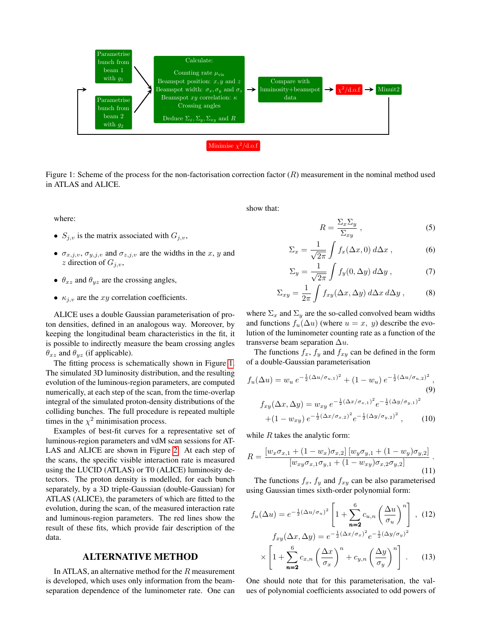

<span id="page-1-0"></span>Figure 1: Scheme of the process for the non-factorisation correction factor  $(R)$  measurement in the nominal method used in ATLAS and ALICE.

where:

- $S_{j,v}$  is the matrix associated with  $G_{j,v}$ ,
- $\sigma_{x,j,v}, \sigma_{y,j,v}$  and  $\sigma_{z,j,v}$  are the widths in the x, y and z direction of  $G_{i,v}$ ,
- $\theta_{xz}$  and  $\theta_{yz}$  are the crossing angles,
- $\kappa_{j,v}$  are the xy correlation coefficients.

ALICE uses a double Gaussian parameterisation of proton densities, defined in an analogous way. Moreover, by keeping the longitudinal beam characteristics in the fit, it is possible to indirectly measure the beam crossing angles  $\theta_{xz}$  and  $\theta_{yz}$  (if applicable).

The fitting process is schematically shown in Figure [1.](#page-1-0) The simulated 3D luminosity distribution, and the resulting evolution of the luminous-region parameters, are computed numerically, at each step of the scan, from the time-overlap integral of the simulated proton-density distributions of the colliding bunches. The full procedure is repeated multiple times in the  $\chi^2$  minimisation process.

Examples of best-fit curves for a representative set of luminous-region parameters and vdM scan sessions for AT-LAS and ALICE are shown in Figure [2.](#page-2-0) At each step of the scans, the specific visible interaction rate is measured using the LUCID (ATLAS) or T0 (ALICE) luminosity detectors. The proton density is modelled, for each bunch separately, by a 3D triple-Gaussian (double-Gaussian) for ATLAS (ALICE), the parameters of which are fitted to the evolution, during the scan, of the measured interaction rate and luminous-region parameters. The red lines show the result of these fits, which provide fair description of the data.

#### ALTERNATIVE METHOD

In ATLAS, an alternative method for the R measurement is developed, which uses only information from the beamseparation dependence of the luminometer rate. One can show that:

$$
R = \frac{\Sigma_x \Sigma_y}{\Sigma_{xy}} \,, \tag{5}
$$

$$
\Sigma_x = \frac{1}{\sqrt{2\pi}} \int f_x(\Delta x, 0) \, d\Delta x \,, \tag{6}
$$

$$
\Sigma_y = \frac{1}{\sqrt{2\pi}} \int f_y(0, \Delta y) \, d\Delta y \,, \tag{7}
$$

$$
\Sigma_{xy} = \frac{1}{2\pi} \int f_{xy}(\Delta x, \Delta y) \, d\Delta x \, d\Delta y \,, \tag{8}
$$

where  $\Sigma_x$  and  $\Sigma_y$  are the so-called convolved beam widths and functions  $f_u(\Delta u)$  (where  $u = x$ , y) describe the evolution of the luminometer counting rate as a function of the transverse beam separation  $\Delta u$ .

The functions  $f_x$ ,  $f_y$  and  $f_{xy}$  can be defined in the form of a double-Gaussian parameterisation

$$
f_u(\Delta u) = w_u \, e^{-\frac{1}{2}(\Delta u/\sigma_{u,1})^2} + (1 - w_u) \, e^{-\frac{1}{2}(\Delta u/\sigma_{u,2})^2}, \tag{9}
$$

$$
f_{xy}(\Delta x, \Delta y) = w_{xy} e^{-\frac{1}{2}(\Delta x/\sigma_{x,1})^2} e^{-\frac{1}{2}(\Delta y/\sigma_{y,1})^2}
$$

$$
+ (1 - w_{xy}) e^{-\frac{1}{2}(\Delta x/\sigma_{x,2})^2} e^{-\frac{1}{2}(\Delta y/\sigma_{y,2})^2}, \qquad (10)
$$

while  $R$  takes the analytic form:

$$
R = \frac{\left[w_x \sigma_{x,1} + (1 - w_x)\sigma_{x,2}\right] \left[w_y \sigma_{y,1} + (1 - w_y)\sigma_{y,2}\right]}{\left[w_{xy} \sigma_{x,1} \sigma_{y,1} + (1 - w_{xy})\sigma_{x,2} \sigma_{y,2}\right]} \tag{11}
$$

The functions  $f_x$ ,  $f_y$  and  $f_{xy}$  can be also parameterised using Gaussian times sixth-order polynomial form:

$$
f_u(\Delta u) = e^{-\frac{1}{2}(\Delta u/\sigma_u)^2} \left[ 1 + \sum_{n=2}^6 c_{u,n} \left( \frac{\Delta u}{\sigma_u} \right)^n \right], (12)
$$

$$
f_{xy}(\Delta x, \Delta y) = e^{-\frac{1}{2}(\Delta x/\sigma_x)^2} e^{-\frac{1}{2}(\Delta y/\sigma_y)^2}
$$

$$
\times \left[ 1 + \sum_{n=2}^6 c_{x,n} \left( \frac{\Delta x}{\sigma_x} \right)^n + c_{y,n} \left( \frac{\Delta y}{\sigma_y} \right)^n \right]. (13)
$$

One should note that for this parameterisation, the values of polynomial coefficients associated to odd powers of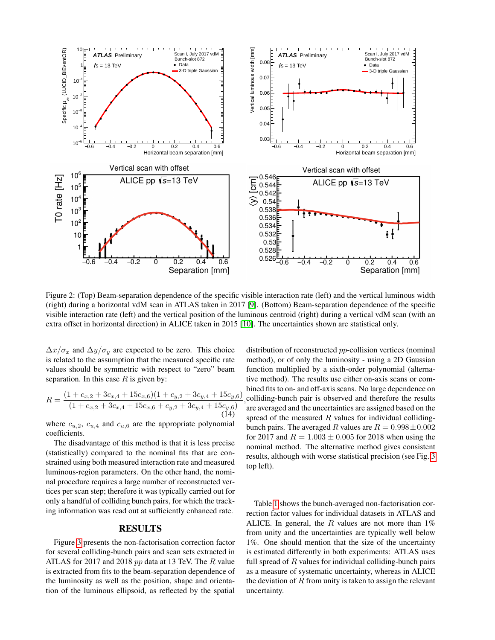

<span id="page-2-0"></span>Figure 2: (Top) Beam-separation dependence of the specific visible interaction rate (left) and the vertical luminous width (right) during a horizontal vdM scan in ATLAS taken in 2017 [\[9\]](#page-4-8). (Bottom) Beam-separation dependence of the specific visible interaction rate (left) and the vertical position of the luminous centroid (right) during a vertical vdM scan (with an extra offset in horizontal direction) in ALICE taken in 2015 [\[10\]](#page-4-9). The uncertainties shown are statistical only.

 $\Delta x/\sigma_x$  and  $\Delta y/\sigma_y$  are expected to be zero. This choice is related to the assumption that the measured specific rate values should be symmetric with respect to "zero" beam separation. In this case  $R$  is given by:

$$
R = \frac{(1 + c_{x,2} + 3c_{x,4} + 15c_{x,6})(1 + c_{y,2} + 3c_{y,4} + 15c_{y,6})}{(1 + c_{x,2} + 3c_{x,4} + 15c_{x,6} + c_{y,2} + 3c_{y,4} + 15c_{y,6})}
$$
\n(14)

where  $c_{u,2}$ ,  $c_{u,4}$  and  $c_{u,6}$  are the appropriate polynomial coefficients.

The disadvantage of this method is that it is less precise (statistically) compared to the nominal fits that are constrained using both measured interaction rate and measured luminous-region parameters. On the other hand, the nominal procedure requires a large number of reconstructed vertices per scan step; therefore it was typically carried out for only a handful of colliding bunch pairs, for which the tracking information was read out at sufficiently enhanced rate.

#### RESULTS

Figure [3](#page-3-0) presents the non-factorisation correction factor for several colliding-bunch pairs and scan sets extracted in ATLAS for 2017 and 2018 *pp* data at 13 TeV. The R value is extracted from fits to the beam-separation dependence of the luminosity as well as the position, shape and orientation of the luminous ellipsoid, as reflected by the spatial , colliding-bunch pair is observed and therefore the results distribution of reconstructed pp-collision vertices (nominal method), or of only the luminosity - using a 2D Gaussian function multiplied by a sixth-order polynomial (alternative method). The results use either on-axis scans or combined fits to on- and off-axis scans. No large dependence on are averaged and the uncertainties are assigned based on the spread of the measured  $R$  values for individual collidingbunch pairs. The averaged R values are  $R = 0.998 \pm 0.002$ for 2017 and  $R = 1.003 \pm 0.005$  for 2018 when using the nominal method. The alternative method gives consistent results, although with worse statistical precision (see Fig. [3](#page-3-0) top left).

Table [1](#page-3-1) shows the bunch-averaged non-factorisation correction factor values for individual datasets in ATLAS and ALICE. In general, the R values are not more than  $1\%$ from unity and the uncertainties are typically well below 1%. One should mention that the size of the uncertainty is estimated differently in both experiments: ATLAS uses full spread of  $R$  values for individual colliding-bunch pairs as a measure of systematic uncertainty, whereas in ALICE the deviation of  $R$  from unity is taken to assign the relevant uncertainty.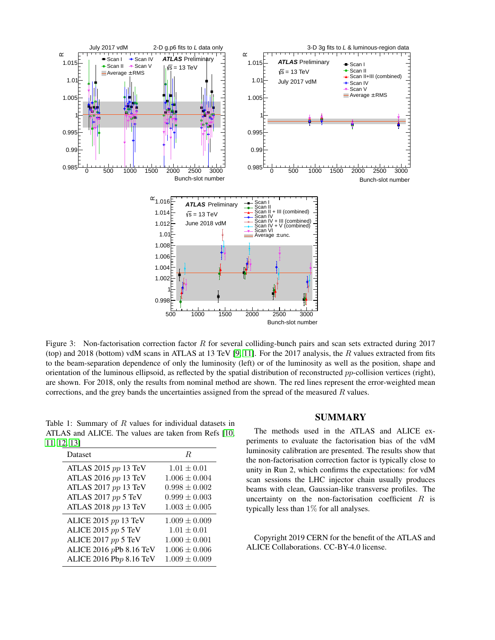

<span id="page-3-0"></span>Figure 3: Non-factorisation correction factor R for several colliding-bunch pairs and scan sets extracted during 2017 (top) and 2018 (bottom) vdM scans in ATLAS at 13 TeV [\[9,](#page-4-8) [11\]](#page-4-10). For the 2017 analysis, the R values extracted from fits to the beam-separation dependence of only the luminosity (left) or of the luminosity as well as the position, shape and orientation of the luminous ellipsoid, as reflected by the spatial distribution of reconstructed  $pp$ -collision vertices (right), are shown. For 2018, only the results from nominal method are shown. The red lines represent the error-weighted mean corrections, and the grey bands the uncertainties assigned from the spread of the measured  $R$  values.

<span id="page-3-1"></span>Table 1: Summary of R values for individual datasets in ATLAS and ALICE. The values are taken from Refs [\[10,](#page-4-9) [11,](#page-4-10) [12,](#page-4-11) [13\]](#page-4-12)

| Dataset                 | R                 |
|-------------------------|-------------------|
| ATLAS 2015 $pp$ 13 TeV  | $1.01 \pm 0.01$   |
| ATLAS 2016 pp 13 TeV    | $1.006 \pm 0.004$ |
| ATLAS 2017 pp 13 TeV    | $0.998 \pm 0.002$ |
| ATLAS 2017 $pp$ 5 TeV   | $0.999 \pm 0.003$ |
| ATLAS 2018 pp 13 TeV    | $1.003 \pm 0.005$ |
| ALICE 2015 pp 13 TeV    | $1.009 \pm 0.009$ |
| ALICE 2015 pp 5 TeV     | $1.01 \pm 0.01$   |
| ALICE 2017 pp 5 TeV     | $1.000 \pm 0.001$ |
| ALICE 2016 pPb 8.16 TeV | $1.006 \pm 0.006$ |
| ALICE 2016 Pbp 8.16 TeV | $1.009 \pm 0.009$ |

## SUMMARY

The methods used in the ATLAS and ALICE experiments to evaluate the factorisation bias of the vdM luminosity calibration are presented. The results show that the non-factorisation correction factor is typically close to unity in Run 2, which confirms the expectations: for vdM scan sessions the LHC injector chain usually produces beams with clean, Gaussian-like transverse profiles. The uncertainty on the non-factorisation coefficient  $R$  is typically less than 1% for all analyses.

Copyright 2019 CERN for the benefit of the ATLAS and ALICE Collaborations. CC-BY-4.0 license.